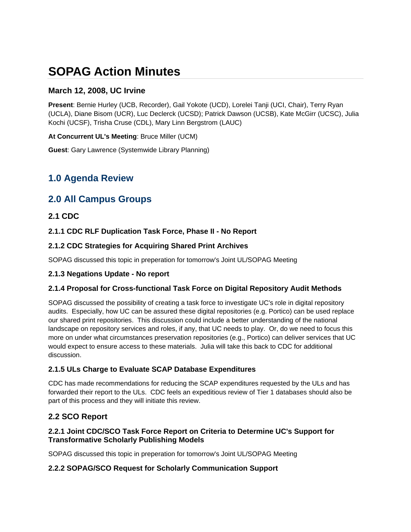# **SOPAG Action Minutes**

### **March 12, 2008, UC Irvine**

**Present**: Bernie Hurley (UCB, Recorder), Gail Yokote (UCD), Lorelei Tanji (UCI, Chair), Terry Ryan (UCLA), Diane Bisom (UCR), Luc Declerck (UCSD); Patrick Dawson (UCSB), Kate McGirr (UCSC), Julia Kochi (UCSF), Trisha Cruse (CDL), Mary Linn Bergstrom (LAUC)

**At Concurrent UL's Meeting**: Bruce Miller (UCM)

**Guest**: Gary Lawrence (Systemwide Library Planning)

## **1.0 Agenda Review**

### **2.0 All Campus Groups**

### **2.1 CDC**

**2.1.1 CDC RLF Duplication Task Force, Phase II - No Report** 

### **2.1.2 CDC Strategies for Acquiring Shared Print Archives**

SOPAG discussed this topic in preperation for tomorrow's Joint UL/SOPAG Meeting

### **2.1.3 Negations Update - No report**

### **2.1.4 Proposal for Cross-functional Task Force on Digital Repository Audit Methods**

SOPAG discussed the possibility of creating a task force to investigate UC's role in digital repository audits. Especially, how UC can be assured these digital repositories (e.g. Portico) can be used replace our shared print repositories. This discussion could include a better understanding of the national landscape on repository services and roles, if any, that UC needs to play. Or, do we need to focus this more on under what circumstances preservation repositories (e.g., Portico) can deliver services that UC would expect to ensure access to these materials. Julia will take this back to CDC for additional discussion.

### **2.1.5 ULs Charge to Evaluate SCAP Database Expenditures**

CDC has made recommendations for reducing the SCAP expenditures requested by the ULs and has forwarded their report to the ULs. CDC feels an expeditious review of Tier 1 databases should also be part of this process and they will initiate this review.

### **2.2 SCO Report**

### **2.2.1 Joint CDC/SCO Task Force Report on Criteria to Determine UC's Support for Transformative Scholarly Publishing Models**

SOPAG discussed this topic in preperation for tomorrow's Joint UL/SOPAG Meeting

### **2.2.2 SOPAG/SCO Request for Scholarly Communication Support**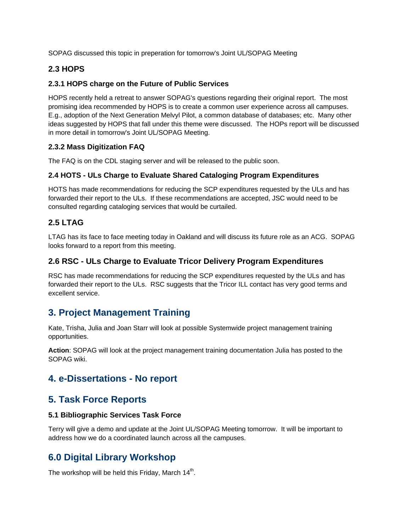SOPAG discussed this topic in preperation for tomorrow's Joint UL/SOPAG Meeting

### **2.3 HOPS**

#### **2.3.1 HOPS charge on the Future of Public Services**

HOPS recently held a retreat to answer SOPAG's questions regarding their original report. The most promising idea recommended by HOPS is to create a common user experience across all campuses. E.g., adoption of the Next Generation Melvyl Pilot, a common database of databases; etc. Many other ideas suggested by HOPS that fall under this theme were discussed. The HOPs report will be discussed in more detail in tomorrow's Joint UL/SOPAG Meeting.

#### **2.3.2 Mass Digitization FAQ**

The FAQ is on the CDL staging server and will be released to the public soon.

#### **2.4 HOTS - ULs Charge to Evaluate Shared Cataloging Program Expenditures**

HOTS has made recommendations for reducing the SCP expenditures requested by the ULs and has forwarded their report to the ULs. If these recommendations are accepted, JSC would need to be consulted regarding cataloging services that would be curtailed.

### **2.5 LTAG**

LTAG has its face to face meeting today in Oakland and will discuss its future role as an ACG. SOPAG looks forward to a report from this meeting.

### **2.6 RSC - ULs Charge to Evaluate Tricor Delivery Program Expenditures**

RSC has made recommendations for reducing the SCP expenditures requested by the ULs and has forwarded their report to the ULs. RSC suggests that the Tricor ILL contact has very good terms and excellent service.

### **3. Project Management Training**

Kate, Trisha, Julia and Joan Starr will look at possible Systemwide project management training opportunities.

**Action**: SOPAG will look at the project management training documentation Julia has posted to the SOPAG wiki.

### **4. e-Dissertations - No report**

### **5. Task Force Reports**

#### **5.1 Bibliographic Services Task Force**

Terry will give a demo and update at the Joint UL/SOPAG Meeting tomorrow. It will be important to address how we do a coordinated launch across all the campuses.

## **6.0 Digital Library Workshop**

The workshop will be held this Friday, March  $14<sup>th</sup>$ .